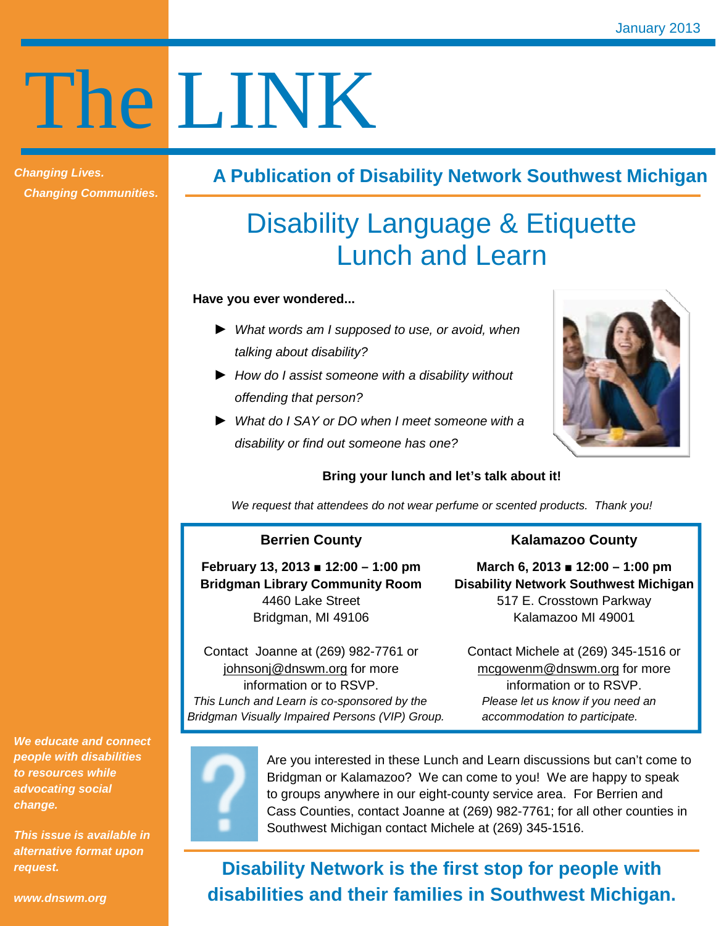# The LINK

**Changing Lives. Changing Communities.** 

## **A Publication of Disability Network Southwest Michigan**

# Disability Language & Etiquette Lunch and Learn

#### **Have you ever wondered...**

- ► What words am I supposed to use, or avoid, when talking about disability?
- ► How do I assist someone with a disability without offending that person?
- ► What do I SAY or DO when I meet someone with a disability or find out someone has one?



## **Bring your lunch and let's talk about it!**

We request that attendees do not wear perfume or scented products. Thank you!

## **Berrien County**

**February 13, 2013 ■ 12:00 – 1:00 pm Bridgman Library Community Room**  4460 Lake Street Bridgman, MI 49106

## **Kalamazoo County**

**March 6, 2013 ■ 12:00 – 1:00 pm Disability Network Southwest Michigan**  517 E. Crosstown Parkway Kalamazoo MI 49001

Contact Joanne at (269) 982-7761 or johnsonj@dnswm.org for more information or to RSVP. This Lunch and Learn is co-sponsored by the Please let us know if you need an Bridgman Visually Impaired Persons (VIP) Group. <br>accommodation to participate.

Contact Michele at (269) 345-1516 or mcgowenm@dnswm.org for more information or to RSVP.

**We educate and connect people with disabilities to resources while advocating social change.** 

**This issue is available in alternative format upon request.** 



Are you interested in these Lunch and Learn discussions but can't come to Bridgman or Kalamazoo? We can come to you! We are happy to speak to groups anywhere in our eight-county service area. For Berrien and Cass Counties, contact Joanne at (269) 982-7761; for all other counties in Southwest Michigan contact Michele at (269) 345-1516.

# **Disability Network is the first stop for people with disabilities and their families in Southwest Michigan.**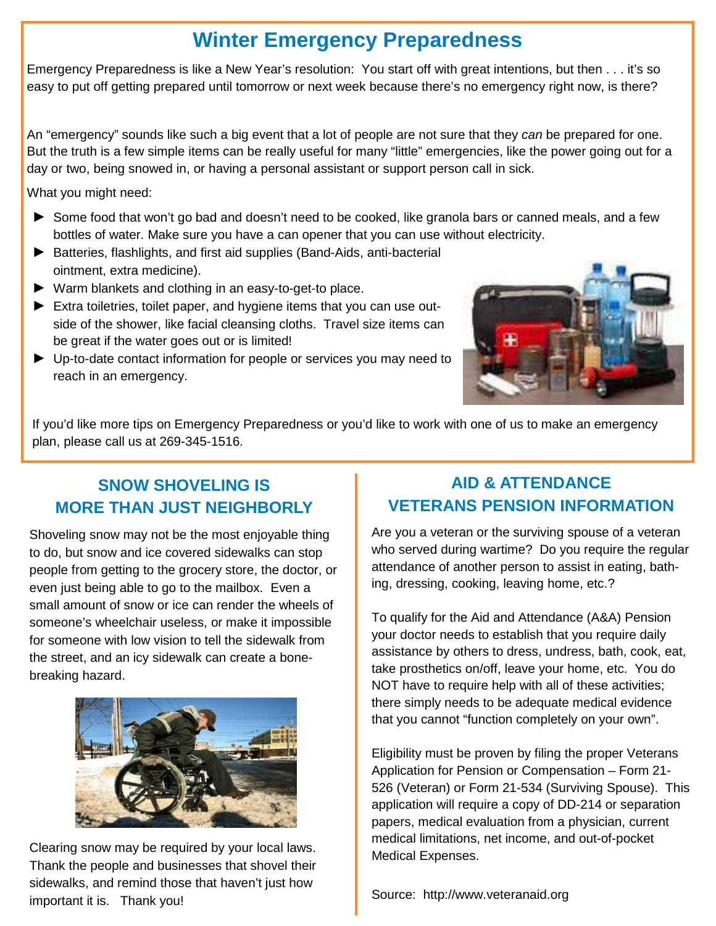# **Winter Emergency Preparedness**

Emergency Preparedness is like a New Year's resolution: You start off with great intentions, but then . . . it's so easy to put off getting prepared until tomorrow or next week because there's no emergency right now, is there?

An "emergency" sounds like such a big event that a lot of people are not sure that they can be prepared for one. But the truth is a few simple items can be really useful for many "little" emergencies, like the power going out for a day or two, being snowed in, or having a personal assistant or support person call in sick.

What you might need:

- ► Some food that won't go bad and doesn't need to be cooked, like granola bars or canned meals, and a few bottles of water. Make sure you have a can opener that you can use without electricity.
- ► Batteries, flashlights, and first aid supplies (Band-Aids, anti-bacterial ointment, extra medicine).
- ► Warm blankets and clothing in an easy-to-get-to place.
- ► Extra toiletries, toilet paper, and hygiene items that you can use outside of the shower, like facial cleansing cloths. Travel size items can be great if the water goes out or is limited!
- ► Up-to-date contact information for people or services you may need to reach in an emergency.



If you'd like more tips on Emergency Preparedness or you'd like to work with one of us to make an emergency plan, please call us at 269-345-1516.

## **SNOW SHOVELING IS MORE THAN JUST NEIGHBORLY**

Shoveling snow may not be the most enjoyable thing to do, but snow and ice covered sidewalks can stop people from getting to the grocery store, the doctor, or even just being able to go to the mailbox. Even a small amount of snow or ice can render the wheels of someone's wheelchair useless, or make it impossible for someone with low vision to tell the sidewalk from the street, and an icy sidewalk can create a bonebreaking hazard.



Clearing snow may be required by your local laws. Thank the people and businesses that shovel their sidewalks, and remind those that haven't just how important it is. Thank you!

## **AID & ATTENDANCE VETERANS PENSION INFORMATION**

Are you a veteran or the surviving spouse of a veteran who served during wartime? Do you require the regular attendance of another person to assist in eating, bathing, dressing, cooking, leaving home, etc.?

To qualify for the Aid and Attendance (A&A) Pension your doctor needs to establish that you require daily assistance by others to dress, undress, bath, cook, eat, take prosthetics on/off, leave your home, etc. You do NOT have to require help with all of these activities; there simply needs to be adequate medical evidence that you cannot "function completely on your own".

Eligibility must be proven by filing the proper Veterans Application for Pension or Compensation – Form 21- 526 (Veteran) or Form 21-534 (Surviving Spouse). This application will require a copy of DD-214 or separation papers, medical evaluation from a physician, current medical limitations, net income, and out-of-pocket Medical Expenses.

Source: http://www.veteranaid.org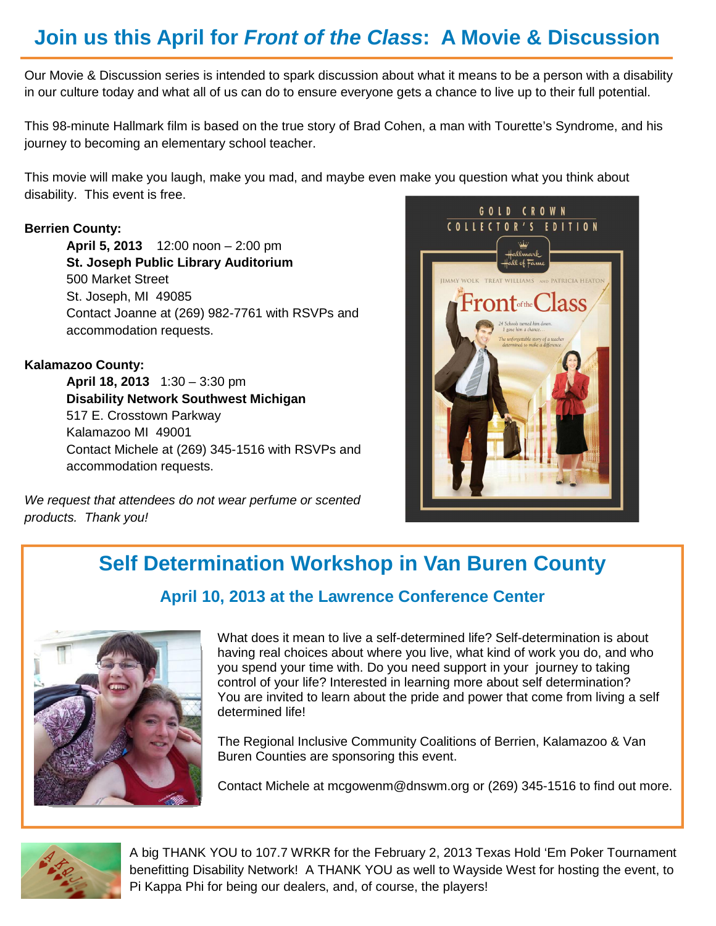# **Join us this April for Front of the Class: A Movie & Discussion**

Our Movie & Discussion series is intended to spark discussion about what it means to be a person with a disability in our culture today and what all of us can do to ensure everyone gets a chance to live up to their full potential.

This 98-minute Hallmark film is based on the true story of Brad Cohen, a man with Tourette's Syndrome, and his journey to becoming an elementary school teacher.

This movie will make you laugh, make you mad, and maybe even make you question what you think about disability. This event is free.

## **Berrien County:**

 **April 5, 2013** 12:00 noon – 2:00 pm **St. Joseph Public Library Auditorium**  500 Market Street St. Joseph, MI 49085 Contact Joanne at (269) 982-7761 with RSVPs and accommodation requests.

## **Kalamazoo County:**

**April 18, 2013** 1:30 – 3:30 pm **Disability Network Southwest Michigan**  517 E. Crosstown Parkway Kalamazoo MI 49001 Contact Michele at (269) 345-1516 with RSVPs and accommodation requests.

We request that attendees do not wear perfume or scented products. Thank you!



# **Self Determination Workshop in Van Buren County April 10, 2013 at the Lawrence Conference Center**



What does it mean to live a self-determined life? Self-determination is about having real choices about where you live, what kind of work you do, and who you spend your time with. Do you need support in your journey to taking control of your life? Interested in learning more about self determination? You are invited to learn about the pride and power that come from living a self determined life!

The Regional Inclusive Community Coalitions of Berrien, Kalamazoo & Van Buren Counties are sponsoring this event.

Contact Michele at mcgowenm@dnswm.org or (269) 345-1516 to find out more.



A big THANK YOU to 107.7 WRKR for the February 2, 2013 Texas Hold 'Em Poker Tournament benefitting Disability Network! A THANK YOU as well to Wayside West for hosting the event, to Pi Kappa Phi for being our dealers, and, of course, the players!